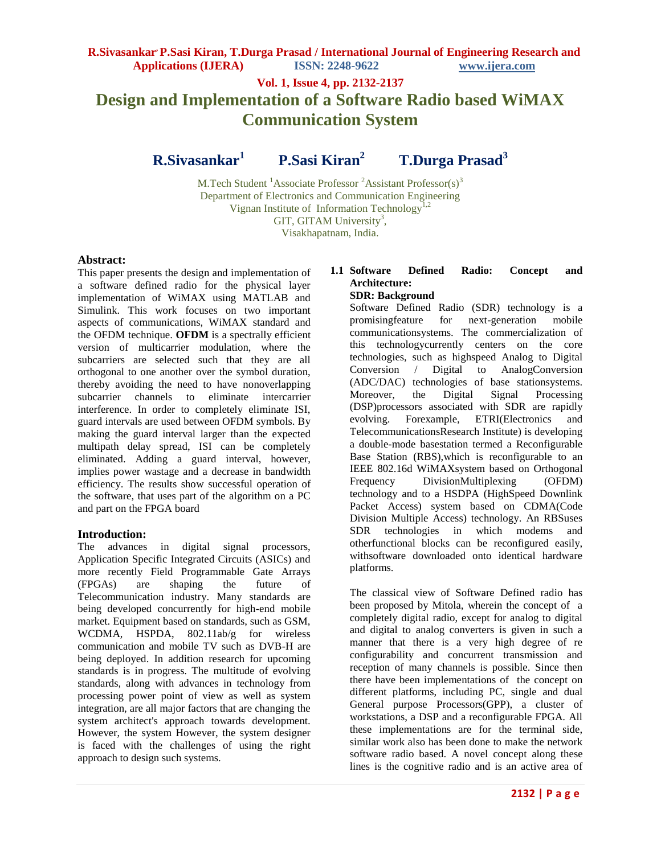# **Vol. 1, Issue 4, pp. 2132-2137 Design and Implementation of a Software Radio based WiMAX Communication System**

**R.Sivasankar<sup>1</sup>P.Sasi Kiran<sup>2</sup>T.Durga Prasad<sup>3</sup>**

M.Tech Student <sup>1</sup>Associate Professor <sup>2</sup>Assistant Professor(s)<sup>3</sup> Department of Electronics and Communication Engineering Vignan Institute of Information Technology<sup>1,2</sup> GIT, GITAM University<sup>3</sup>, Visakhapatnam, India.

## **Abstract:**

This paper presents the design and implementation of a software defined radio for the physical layer implementation of WiMAX using MATLAB and Simulink. This work focuses on two important aspects of communications, WiMAX standard and the OFDM technique. **OFDM** is a spectrally efficient version of multicarrier modulation, where the subcarriers are selected such that they are all orthogonal to one another over the symbol duration, thereby avoiding the need to have nonoverlapping subcarrier channels to eliminate intercarrier interference. In order to completely eliminate ISI, guard intervals are used between OFDM symbols. By making the guard interval larger than the expected multipath delay spread, ISI can be completely eliminated. Adding a guard interval, however, implies power wastage and a decrease in bandwidth efficiency. The results show successful operation of the software, that uses part of the algorithm on a PC and part on the FPGA board

# **Introduction:**

The advances in digital signal processors, Application Specific Integrated Circuits (ASICs) and more recently Field Programmable Gate Arrays (FPGAs) are shaping the future of Telecommunication industry. Many standards are being developed concurrently for high-end mobile market. Equipment based on standards, such as GSM, WCDMA, HSPDA, 802.11ab/g for wireless communication and mobile TV such as DVB-H are being deployed. In addition research for upcoming standards is in progress. The multitude of evolving standards, along with advances in technology from processing power point of view as well as system integration, are all major factors that are changing the system architect's approach towards development. However, the system However, the system designer is faced with the challenges of using the right approach to design such systems.

# **1.1 Software Defined Radio: Concept and Architecture:**

## **SDR: Background**

Software Defined Radio (SDR) technology is a promisingfeature for next-generation mobile communicationsystems. The commercialization of this technologycurrently centers on the core technologies, such as highspeed Analog to Digital Conversion / Digital to AnalogConversion (ADC/DAC) technologies of base stationsystems. Moreover, the Digital Signal Processing (DSP)processors associated with SDR are rapidly evolving. Forexample, ETRI(Electronics and TelecommunicationsResearch Institute) is developing a double-mode basestation termed a Reconfigurable Base Station (RBS),which is reconfigurable to an IEEE 802.16d WiMAXsystem based on Orthogonal Frequency DivisionMultiplexing (OFDM) technology and to a HSDPA (HighSpeed Downlink Packet Access) system based on CDMA(Code Division Multiple Access) technology. An RBSuses SDR technologies in which modems and otherfunctional blocks can be reconfigured easily, withsoftware downloaded onto identical hardware platforms.

The classical view of Software Defined radio has been proposed by Mitola, wherein the concept of a completely digital radio, except for analog to digital and digital to analog converters is given in such a manner that there is a very high degree of re configurability and concurrent transmission and reception of many channels is possible. Since then there have been implementations of the concept on different platforms, including PC, single and dual General purpose Processors(GPP), a cluster of workstations, a DSP and a reconfigurable FPGA. All these implementations are for the terminal side, similar work also has been done to make the network software radio based. A novel concept along these lines is the cognitive radio and is an active area of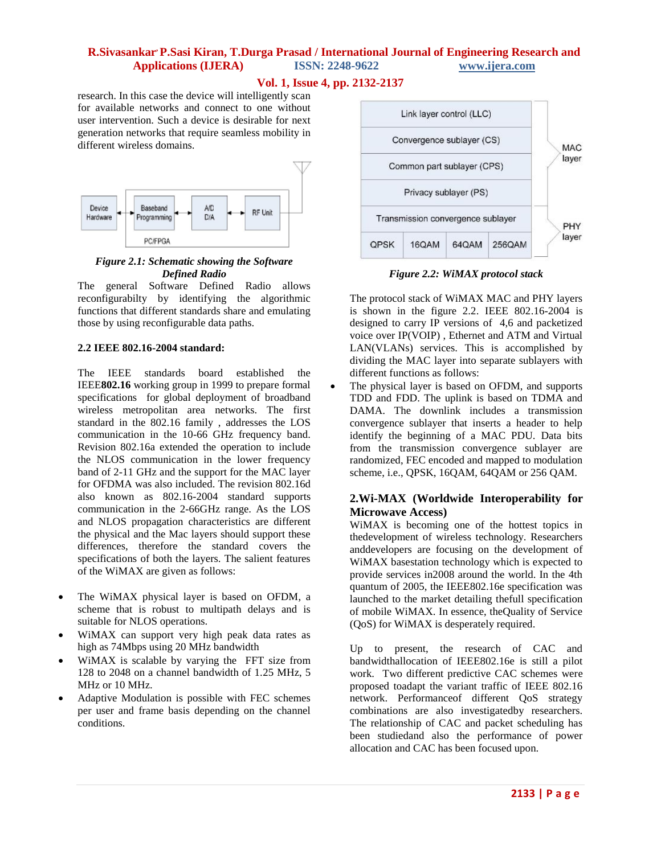### **Vol. 1, Issue 4, pp. 2132-2137**

research. In this case the device will intelligently scan for available networks and connect to one without user intervention. Such a device is desirable for next generation networks that require seamless mobility in different wireless domains.



### *Figure 2.1: Schematic showing the Software Defined Radio*

The general Software Defined Radio allows reconfigurabilty by identifying the algorithmic functions that different standards share and emulating those by using reconfigurable data paths.

### **2.2 IEEE 802.16-2004 standard:**

The IEEE standards board established the IEEE**802.16** working group in 1999 to prepare formal specifications for global deployment of broadband wireless metropolitan area networks. The first standard in the 802.16 family , addresses the LOS communication in the 10-66 GHz frequency band. Revision 802.16a extended the operation to include the NLOS communication in the lower frequency band of 2-11 GHz and the support for the MAC layer for OFDMA was also included. The revision 802.16d also known as 802.16-2004 standard supports communication in the 2-66GHz range. As the LOS and NLOS propagation characteristics are different the physical and the Mac layers should support these differences, therefore the standard covers the specifications of both the layers. The salient features of the WiMAX are given as follows:

- The WiMAX physical layer is based on OFDM, a scheme that is robust to multipath delays and is suitable for NLOS operations.
- WiMAX can support very high peak data rates as high as 74Mbps using 20 MHz bandwidth
- WiMAX is scalable by varying the FFT size from 128 to 2048 on a channel bandwidth of 1.25 MHz, 5 MHz or 10 MHz.
- Adaptive Modulation is possible with FEC schemes per user and frame basis depending on the channel conditions.



*Figure 2.2: WiMAX protocol stack*

The protocol stack of WiMAX MAC and PHY layers is shown in the figure 2.2. IEEE 802.16-2004 is designed to carry IP versions of 4,6 and packetized voice over IP(VOIP) , Ethernet and ATM and Virtual LAN(VLANs) services. This is accomplished by dividing the MAC layer into separate sublayers with different functions as follows:

• The physical layer is based on OFDM, and supports TDD and FDD. The uplink is based on TDMA and DAMA. The downlink includes a transmission convergence sublayer that inserts a header to help identify the beginning of a MAC PDU. Data bits from the transmission convergence sublayer are randomized, FEC encoded and mapped to modulation scheme, i.e., QPSK, 16QAM, 64QAM or 256 QAM.

# **2.Wi-MAX (Worldwide Interoperability for Microwave Access)**

WiMAX is becoming one of the hottest topics in thedevelopment of wireless technology. Researchers anddevelopers are focusing on the development of WiMAX basestation technology which is expected to provide services in2008 around the world. In the 4th quantum of 2005, the IEEE802.16e specification was launched to the market detailing thefull specification of mobile WiMAX. In essence, theQuality of Service (QoS) for WiMAX is desperately required.

Up to present, the research of CAC and bandwidthallocation of IEEE802.16e is still a pilot work. Two different predictive CAC schemes were proposed toadapt the variant traffic of IEEE 802.16 network. Performanceof different QoS strategy combinations are also investigatedby researchers. The relationship of CAC and packet scheduling has been studiedand also the performance of power allocation and CAC has been focused upon.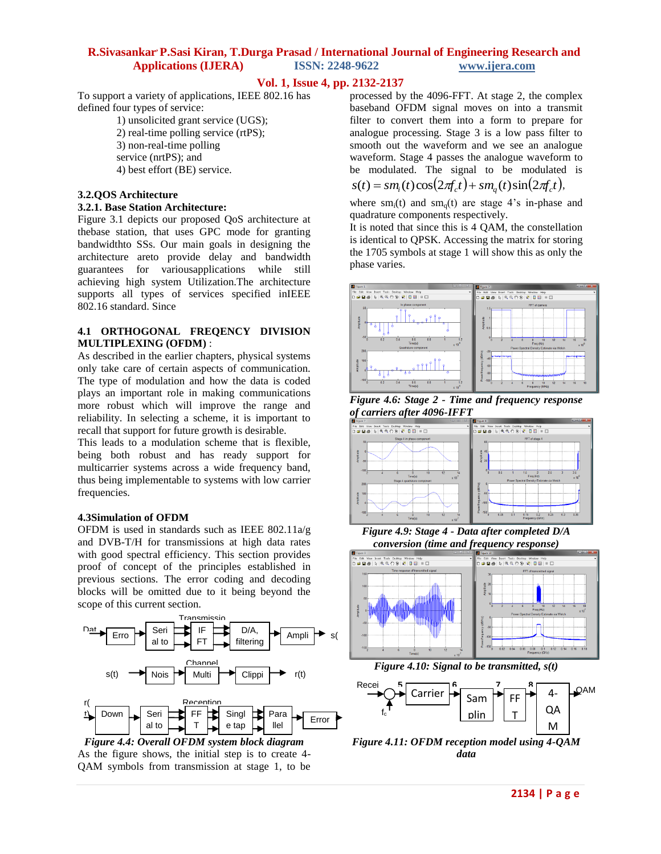### **Vol. 1, Issue 4, pp. 2132-2137**

To support a variety of applications, IEEE 802.16 has defined four types of service:

1) unsolicited grant service (UGS); 2) real-time polling service (rtPS); 3) non-real-time polling service (nrtPS); and 4) best effort (BE) service.

### **3.2.QOS Architecture**

#### **3.2.1. Base Station Architecture:**

Figure 3.1 depicts our proposed QoS architecture at thebase station, that uses GPC mode for granting bandwidthto SSs. Our main goals in designing the architecture areto provide delay and bandwidth guarantees for variousapplications while still achieving high system Utilization.The architecture supports all types of services specified inIEEE 802.16 standard. Since

### **4.1 ORTHOGONAL FREQENCY DIVISION MULTIPLEXING (OFDM)** :

As described in the earlier chapters, physical systems only take care of certain aspects of communication. The type of modulation and how the data is coded plays an important role in making communications more robust which will improve the range and reliability. In selecting a scheme, it is important to recall that support for future growth is desirable.

This leads to a modulation scheme that is flexible, being both robust and has ready support for multicarrier systems across a wide frequency band, thus being implementable to systems with low carrier frequencies.

#### **4.3Simulation of OFDM**

OFDM is used in standards such as IEEE 802.11 $a/g$ and DVB-T/H for transmissions at high data rates with good spectral efficiency. This section provides proof of concept of the principles established in previous sections. The error coding and decoding blocks will be omitted due to it being beyond the scope of this current section.



Figure 4.4: Overall OFDM system block diagram As the figure shows, the initial step is to create 4-QAM symbols from transmission at stage 1, to be al

processed by the 4096-FFT. At stage 2, the complex baseband OFDM signal moves on into a transmit filter to convert them into a form to prepare for analogue processing. Stage 3 is a low pass filter to smooth out the waveform and we see an analogue waveform. Stage 4 passes the analogue waveform to be modulated. The signal to be modulated is  $s(t) = sm_i(t)\cos(2\pi f_c t) + sm_q(t)\sin(2\pi f_c t),$ 

where  $sm_i(t)$  and  $sm_i(t)$  are stage 4's in-phase and quadrature components respectively.

It is noted that since this is 4 QAM, the constellation is identical to QPSK. Accessing the matrix for storing the 1705 symbols at stage 1 will show this as only the phase varies.



*Figure 4.6: Stage 2 - Time and frequency response of carriers after 4096-IFFT*



*Figure 4.9: Stage 4 - Data after completed D/A conversion (time and frequency response)*



*Figure 4.10: Signal to be transmitted, s(t)*



*Figure 4.11: OFDM reception model using 4-QAM data* : 4- $Q$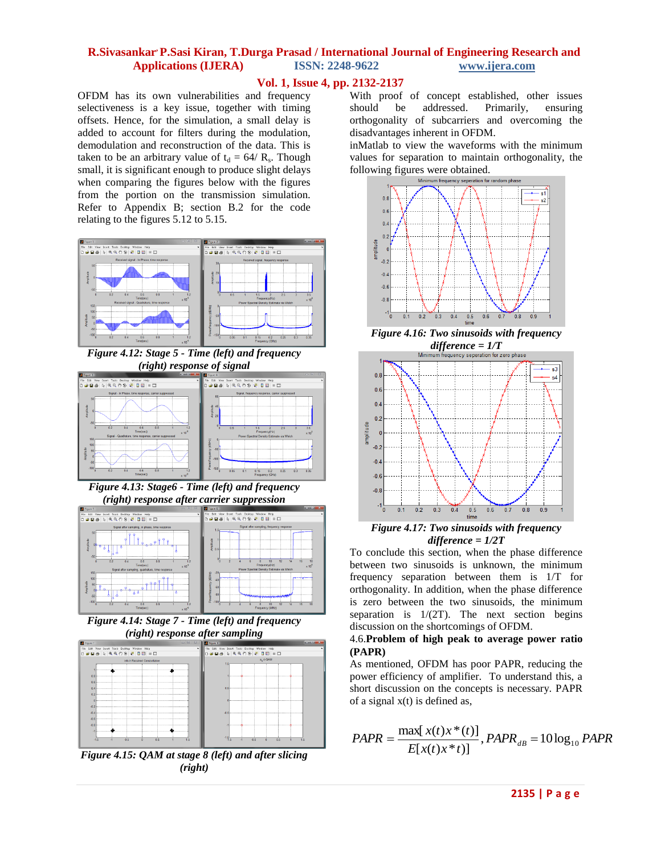## **Vol. 1, Issue 4, pp. 2132-2137**

OFDM has its own vulnerabilities and frequency selectiveness is a key issue, together with timing offsets. Hence, for the simulation, a small delay is added to account for filters during the modulation, demodulation and reconstruction of the data. This is taken to be an arbitrary value of  $t_d = 64/R_s$ . Though small, it is significant enough to produce slight delays when comparing the figures below with the figures from the portion on the transmission simulation. Refer to Appendix B; section B.2 for the code relating to the figures 5.12 to 5.15.



*Figure 4.12: Stage 5 - Time (left) and frequency (right) response of signal*



*Figure 4.13: Stage6 - Time (left) and frequency (right) response after carrier suppression*



*Figure 4.14: Stage 7 - Time (left) and frequency (right) response after sampling*



*Figure 4.15: QAM at stage 8 (left) and after slicing (right)*

With proof of concept established, other issues should be addressed. Primarily, ensuring orthogonality of subcarriers and overcoming the disadvantages inherent in OFDM.

inMatlab to view the waveforms with the minimum values for separation to maintain orthogonality, the following figures were obtained.



*Figure 4.16: Two sinusoids with frequency difference = 1/T* 



*Figure 4.17: Two sinusoids with frequency difference = 1/2T*

To conclude this section, when the phase difference between two sinusoids is unknown, the minimum frequency separation between them is 1/T for orthogonality. In addition, when the phase difference is zero between the two sinusoids, the minimum separation is  $1/(2T)$ . The next section begins discussion on the shortcomings of OFDM.

### 4.6.**Problem of high peak to average power ratio (PAPR)**

As mentioned, OFDM has poor PAPR, reducing the power efficiency of amplifier. To understand this, a short discussion on the concepts is necessary. PAPR of a signal  $x(t)$  is defined as,

$$
PAPR = \frac{\max[x(t)x*(t)]}{E[x(t)x*t)]}, PAPR_{dB} = 10 \log_{10} PAPR
$$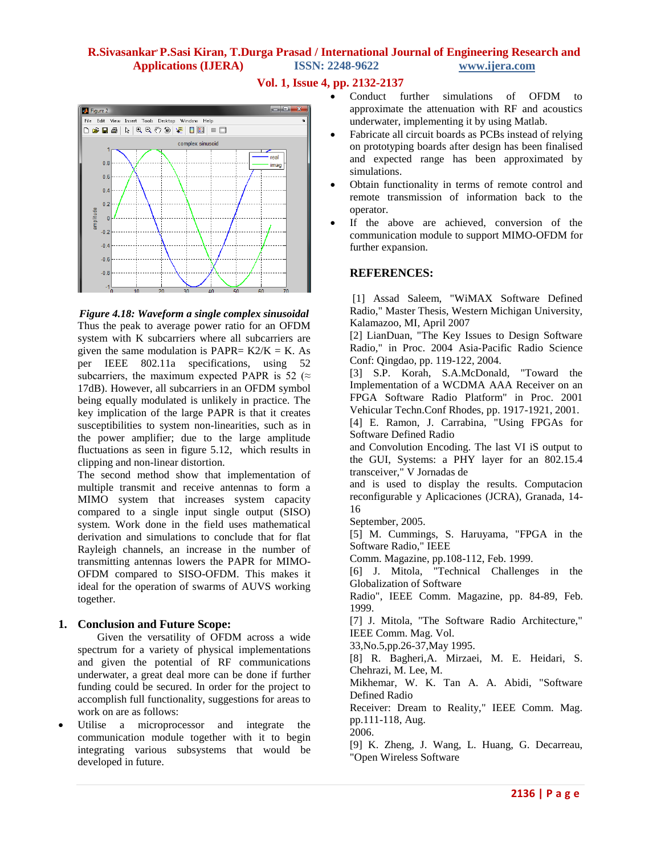# **Vol. 1, Issue 4, pp. 2132-2137**



*Figure 4.18: Waveform a single complex sinusoidal* Thus the peak to average power ratio for an OFDM system with K subcarriers where all subcarriers are given the same modulation is PAPR=  $K2/K = K$ . As per IEEE 802.11a specifications, using 52 subcarriers, the maximum expected PAPR is 52 ( $\approx$ 17dB). However, all subcarriers in an OFDM symbol being equally modulated is unlikely in practice. The key implication of the large PAPR is that it creates susceptibilities to system non-linearities, such as in the power amplifier; due to the large amplitude fluctuations as seen in figure 5.12, which results in clipping and non-linear distortion.

The second method show that implementation of multiple transmit and receive antennas to form a MIMO system that increases system capacity compared to a single input single output (SISO) system. Work done in the field uses mathematical derivation and simulations to conclude that for flat Rayleigh channels, an increase in the number of transmitting antennas lowers the PAPR for MIMO-OFDM compared to SISO-OFDM. This makes it ideal for the operation of swarms of AUVS working together.

### **1. Conclusion and Future Scope:**

Given the versatility of OFDM across a wide spectrum for a variety of physical implementations and given the potential of RF communications underwater, a great deal more can be done if further funding could be secured. In order for the project to accomplish full functionality, suggestions for areas to work on are as follows:

 Utilise a microprocessor and integrate the communication module together with it to begin integrating various subsystems that would be developed in future.

- Conduct further simulations of OFDM to approximate the attenuation with RF and acoustics underwater, implementing it by using Matlab.
- Fabricate all circuit boards as PCBs instead of relying on prototyping boards after design has been finalised and expected range has been approximated by simulations.
- Obtain functionality in terms of remote control and remote transmission of information back to the operator.
- If the above are achieved, conversion of the communication module to support MIMO-OFDM for further expansion.

# **REFERENCES:**

[1] Assad Saleem, "WiMAX Software Defined Radio," Master Thesis, Western Michigan University, Kalamazoo, MI, April 2007

[2] LianDuan, "The Key Issues to Design Software Radio," in Proc. 2004 Asia-Pacific Radio Science Conf: Qingdao, pp. 119-122, 2004.

[3] S.P. Korah, S.A.McDonald, "Toward the Implementation of a WCDMA AAA Receiver on an FPGA Software Radio Platform" in Proc. 2001 Vehicular Techn.Conf Rhodes, pp. 1917-1921, 2001.

[4] E. Ramon, J. Carrabina, "Using FPGAs for Software Defined Radio

and Convolution Encoding. The last VI iS output to the GUI, Systems: a PHY layer for an 802.15.4 transceiver," V Jornadas de

and is used to display the results. Computacion reconfigurable y Aplicaciones (JCRA), Granada, 14- 16

September, 2005.

[5] M. Cummings, S. Haruyama, "FPGA in the Software Radio," IEEE

Comm. Magazine, pp.108-112, Feb. 1999.

[6] J. Mitola, "Technical Challenges in the Globalization of Software

Radio", IEEE Comm. Magazine, pp. 84-89, Feb. 1999.

[7] J. Mitola, "The Software Radio Architecture," IEEE Comm. Mag. Vol.

33,No.5,pp.26-37,May 1995.

[8] R. Bagheri,A. Mirzaei, M. E. Heidari, S. Chehrazi, M. Lee, M.

Mikhemar, W. K. Tan A. A. Abidi, "Software Defined Radio

Receiver: Dream to Reality," IEEE Comm. Mag. pp.111-118, Aug.

2006.

[9] K. Zheng, J. Wang, L. Huang, G. Decarreau, "Open Wireless Software